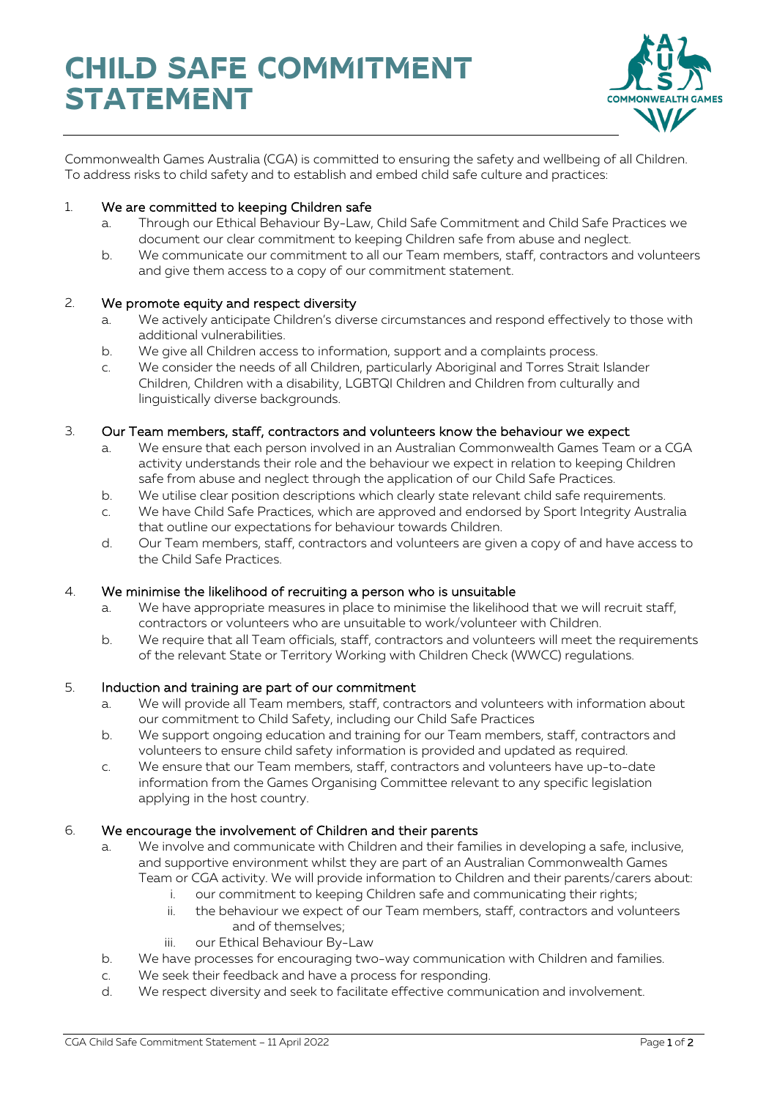

Commonwealth Games Australia (CGA) is committed to ensuring the safety and wellbeing of all Children. To address risks to child safety and to establish and embed child safe culture and practices:

## 1. We are committed to keeping Children safe

- a. Through our Ethical Behaviour By-Law, Child Safe Commitment and Child Safe Practices we document our clear commitment to keeping Children safe from abuse and neglect.
- b. We communicate our commitment to all our Team members, staff, contractors and volunteers and give them access to a copy of our commitment statement.

## 2. We promote equity and respect diversity

- a. We actively anticipate Children's diverse circumstances and respond effectively to those with additional vulnerabilities.
- b. We give all Children access to information, support and a complaints process.
- c. We consider the needs of all Children, particularly Aboriginal and Torres Strait Islander Children, Children with a disability, LGBTQI Children and Children from culturally and linguistically diverse backgrounds.

## 3. Our Team members, staff, contractors and volunteers know the behaviour we expect

- a. We ensure that each person involved in an Australian Commonwealth Games Team or a CGA activity understands their role and the behaviour we expect in relation to keeping Children safe from abuse and neglect through the application of our Child Safe Practices.
- b. We utilise clear position descriptions which clearly state relevant child safe requirements.
- c. We have Child Safe Practices, which are approved and endorsed by Sport Integrity Australia that outline our expectations for behaviour towards Children.
- d. Our Team members, staff, contractors and volunteers are given a copy of and have access to the Child Safe Practices.

#### 4. We minimise the likelihood of recruiting a person who is unsuitable

- a. We have appropriate measures in place to minimise the likelihood that we will recruit staff, contractors or volunteers who are unsuitable to work/volunteer with Children.
- b. We require that all Team officials, staff, contractors and volunteers will meet the requirements of the relevant State or Territory Working with Children Check (WWCC) regulations.

#### 5. Induction and training are part of our commitment

- a. We will provide all Team members, staff, contractors and volunteers with information about our commitment to Child Safety, including our Child Safe Practices
- b. We support ongoing education and training for our Team members, staff, contractors and volunteers to ensure child safety information is provided and updated as required.
- c. We ensure that our Team members, staff, contractors and volunteers have up-to-date information from the Games Organising Committee relevant to any specific legislation applying in the host country.

#### 6. We encourage the involvement of Children and their parents

- a. We involve and communicate with Children and their families in developing a safe, inclusive, and supportive environment whilst they are part of an Australian Commonwealth Games Team or CGA activity. We will provide information to Children and their parents/carers about:
	- i. our commitment to keeping Children safe and communicating their rights;
	- ii. the behaviour we expect of our Team members, staff, contractors and volunteers and of themselves;
	- iii. our Ethical Behaviour By-Law
- b. We have processes for encouraging two-way communication with Children and families.
- c. We seek their feedback and have a process for responding.
- d. We respect diversity and seek to facilitate effective communication and involvement.